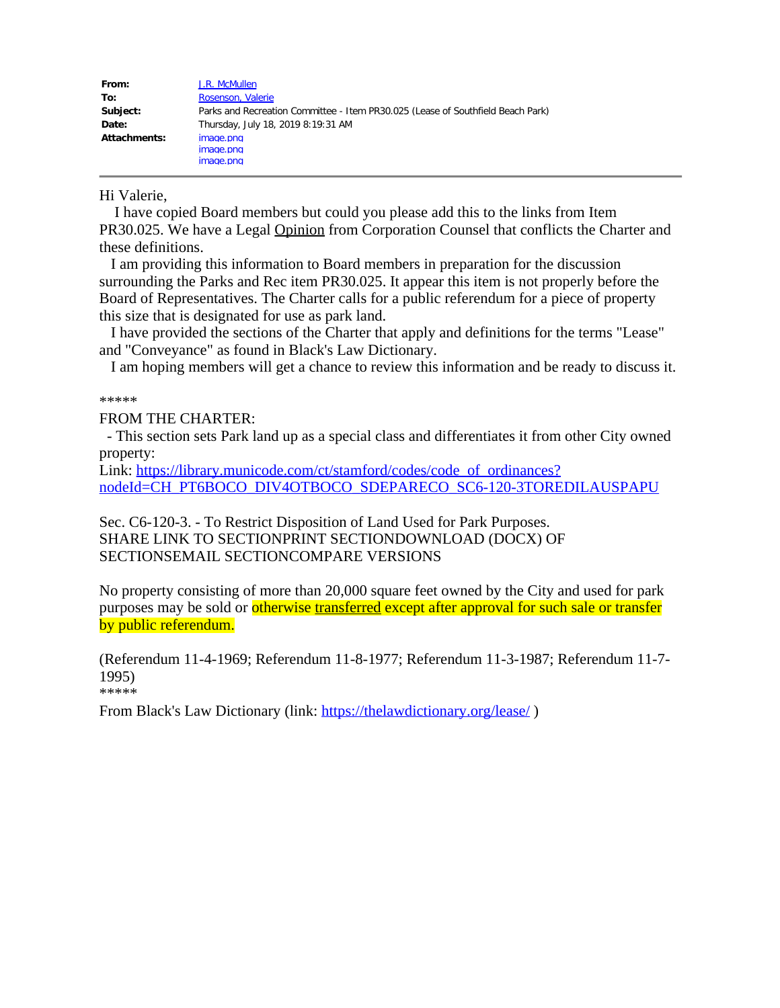| From:        | J.R. McMullen                                                                   |
|--------------|---------------------------------------------------------------------------------|
| To:          | Rosenson, Valerie                                                               |
| Subject:     | Parks and Recreation Committee - Item PR30.025 (Lease of Southfield Beach Park) |
| Date:        | Thursday, July 18, 2019 8:19:31 AM                                              |
| Attachments: | image.png<br>image.png<br>image.png                                             |

### Hi Valerie,

 I have copied Board members but could you please add this to the links from Item PR30.025. We have a Legal Opinion from Corporation Counsel that conflicts the Charter and these definitions.

I am providing this information to Board members in preparation for the discussion surrounding the Parks and Rec item PR30.025. It appear this item is not properly before the Board of Representatives. The Charter calls for a public referendum for a piece of property this size that is designated for use as park land.

I have provided the sections of the Charter that apply and definitions for the terms "Lease" and "Conveyance" as found in Black's Law Dictionary.

I am hoping members will get a chance to review this information and be ready to discuss it.

\*\*\*\*\*

## FROM THE CHARTER:

 - This section sets Park land up as a special class and differentiates it from other City owned property:

Link: [https://library.municode.com/ct/stamford/codes/code\\_of\\_ordinances?](https://library.municode.com/ct/stamford/codes/code_of_ordinances?nodeId=CH_PT6BOCO_DIV4OTBOCO_SDEPARECO_SC6-120-3TOREDILAUSPAPU) [nodeId=CH\\_PT6BOCO\\_DIV4OTBOCO\\_SDEPARECO\\_SC6-120-3TOREDILAUSPAPU](https://library.municode.com/ct/stamford/codes/code_of_ordinances?nodeId=CH_PT6BOCO_DIV4OTBOCO_SDEPARECO_SC6-120-3TOREDILAUSPAPU)

Sec. C6-120-3. - To Restrict Disposition of Land Used for Park Purposes. SHARE LINK TO SECTIONPRINT SECTIONDOWNLOAD (DOCX) OF SECTIONSEMAIL SECTIONCOMPARE VERSIONS

No property consisting of more than 20,000 square feet owned by the City and used for park purposes may be sold or otherwise transferred except after approval for such sale or transfer by public referendum.

(Referendum 11-4-1969; Referendum 11-8-1977; Referendum 11-3-1987; Referendum 11-7- 1995) \*\*\*\*\*

From Black's Law Dictionary (link: <https://thelawdictionary.org/lease/>)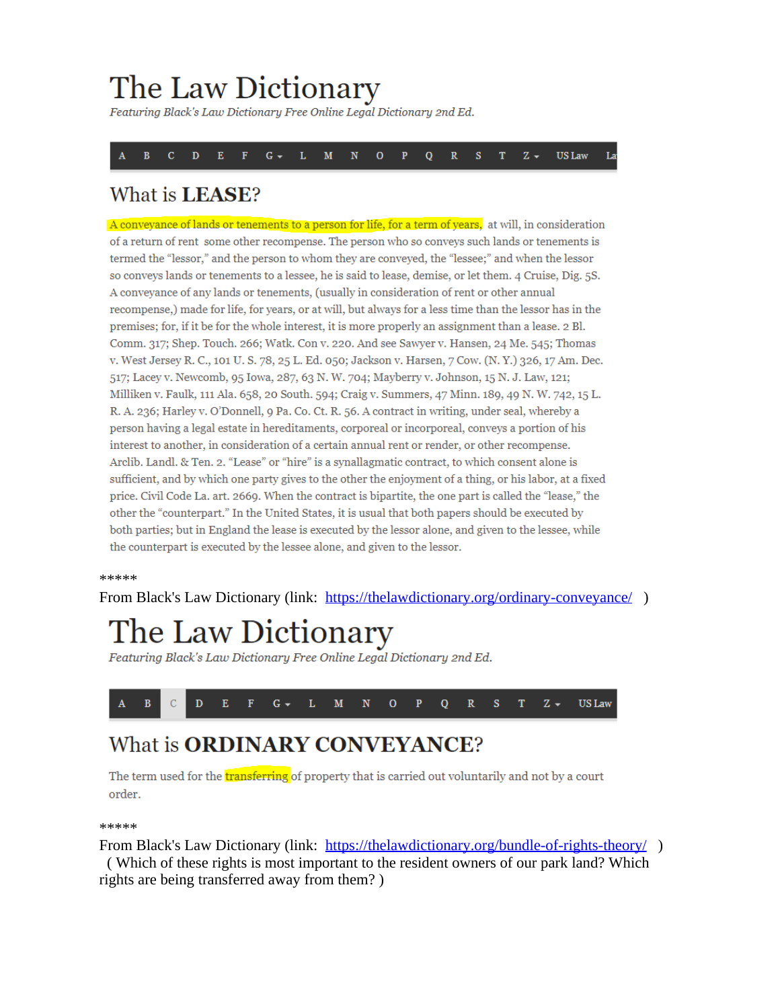# The Law Dictionary

Featuring Black's Law Dictionary Free Online Legal Dictionary 2nd Ed.

 $\overline{B}$  $\overline{c}$  $\overline{D}$ E  $G \overline{\mathbf{N}}$  $\overline{Q}$ **US Law** T. M  $\Omega$ p  $\mathbb{R}$ s T.  $Z -$ La

## What is LEASE?

A conveyance of lands or tenements to a person for life, for a term of years, at will, in consideration of a return of rent some other recompense. The person who so conveys such lands or tenements is termed the "lessor," and the person to whom they are conveyed, the "lessee;" and when the lessor so conveys lands or tenements to a lessee, he is said to lease, demise, or let them. 4 Cruise, Dig. 5S. A conveyance of any lands or tenements, (usually in consideration of rent or other annual recompense,) made for life, for years, or at will, but always for a less time than the lessor has in the premises; for, if it be for the whole interest, it is more properly an assignment than a lease. 2 Bl. Comm. 317; Shep. Touch. 266; Watk. Con v. 220. And see Sawyer v. Hansen, 24 Me. 545; Thomas v. West Jersey R. C., 101 U. S. 78, 25 L. Ed. 050; Jackson v. Harsen, 7 Cow. (N. Y.) 326, 17 Am. Dec. 517; Lacey v. Newcomb, 95 Iowa, 287, 63 N.W. 704; Mayberry v. Johnson, 15 N.J. Law, 121; Milliken v. Faulk, 111 Ala. 658, 20 South. 594; Craig v. Summers, 47 Minn. 189, 49 N. W. 742, 15 L. R. A. 236; Harley v. O'Donnell, 9 Pa. Co. Ct. R. 56. A contract in writing, under seal, whereby a person having a legal estate in hereditaments, corporeal or incorporeal, conveys a portion of his interest to another, in consideration of a certain annual rent or render, or other recompense. Arclib. Landl. & Ten. 2. "Lease" or "hire" is a synallagmatic contract, to which consent alone is sufficient, and by which one party gives to the other the enjoyment of a thing, or his labor, at a fixed price. Civil Code La. art. 2669. When the contract is bipartite, the one part is called the "lease," the other the "counterpart." In the United States, it is usual that both papers should be executed by both parties; but in England the lease is executed by the lessor alone, and given to the lessee, while the counterpart is executed by the lessee alone, and given to the lessor.

#### \*\*\*\*\*

From Black's Law Dictionary (link: <https://thelawdictionary.org/ordinary-conveyance/>)

# The Law Dictionary

Featuring Black's Law Dictionary Free Online Legal Dictionary 2nd Ed.



## What is **ORDINARY CONVEYANCE?**

The term used for the **transferring** of property that is carried out voluntarily and not by a court order.

#### \*\*\*\*\*

From Black's Law Dictionary (link: <https://thelawdictionary.org/bundle-of-rights-theory/>) ( Which of these rights is most important to the resident owners of our park land? Which rights are being transferred away from them? )